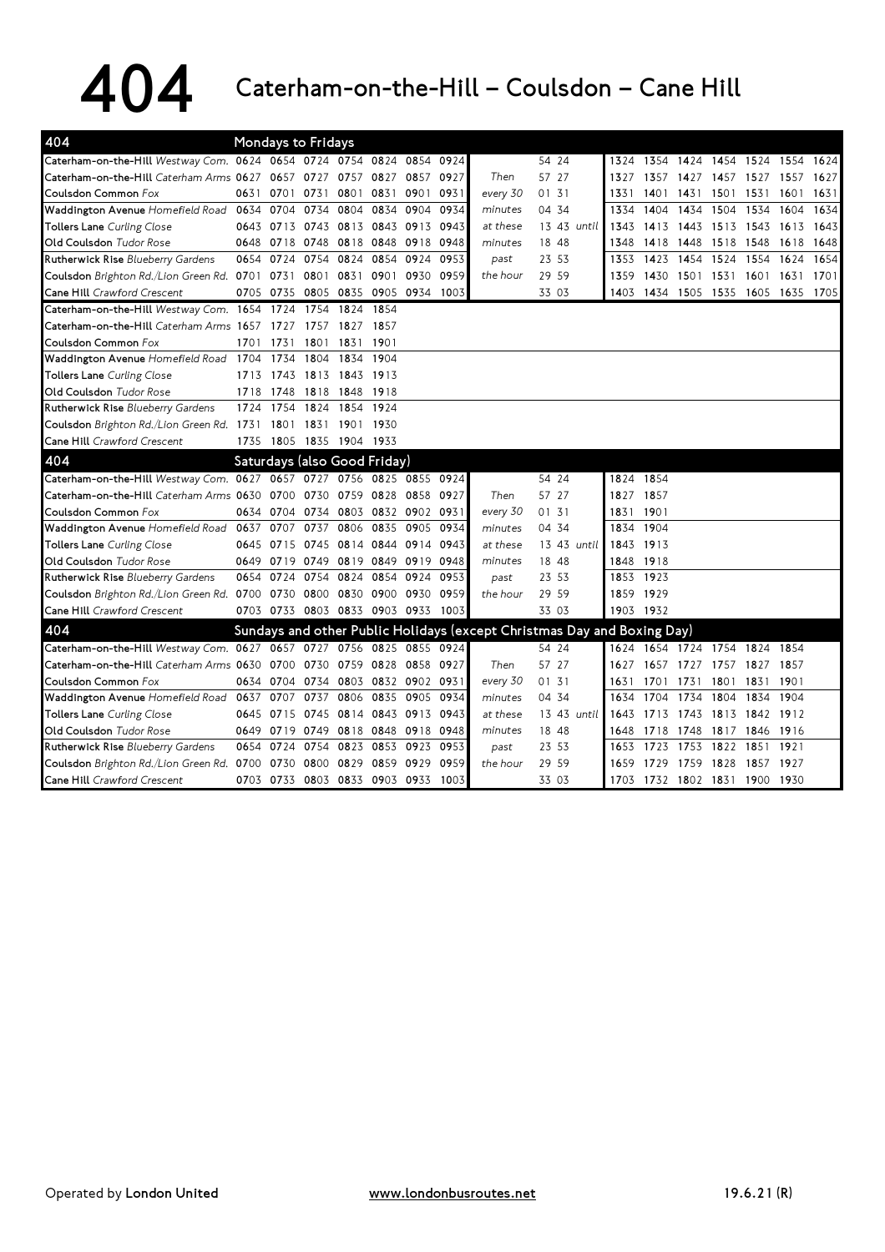## $404$  Caterham-on-the-Hill – Coulsdon – Cane Hill

| 404                                                                  |      |                | Mondays to Fridays |                               |           |                     |      |          |                                                                         |      |                          |      |                     |      |           |      |
|----------------------------------------------------------------------|------|----------------|--------------------|-------------------------------|-----------|---------------------|------|----------|-------------------------------------------------------------------------|------|--------------------------|------|---------------------|------|-----------|------|
| Caterham-on-the-Hill Westway Com. 0624 0654 0724 0754 0824           |      |                |                    |                               |           | 0854                | 0924 |          | 54 24                                                                   | 1324 | 1354 1424 1454 1524 1554 |      |                     |      |           | 1624 |
| Caterham-on-the-Hill Caterham Arms 0627 0657 0727                    |      |                |                    | 0757                          | 0827      | 0857                | 0927 | Then     | 57 27                                                                   | 1327 | 1357                     | 1427 | 1457 1527           |      | 1557      | 1627 |
| Coulsdon Common Fox                                                  | 0631 | 0701           | 0731               | 0801                          | 0831      | 0901                | 0931 | every 30 | 01 31                                                                   | 1331 | 1401                     | 1431 | 1501 1531           |      | 1601      | 1631 |
| Waddington Avenue Homefield Road 0634 0704                           |      |                | 0734               | 0804                          | 0834      | 0904                | 0934 | minutes  | 04 34                                                                   | 1334 | 1404                     | 1434 | 1504 1534           |      | 1604      | 1634 |
| <b>Tollers Lane</b> Curling Close                                    |      | 0643 0713      | 0743               | 0813                          | 0843 0913 |                     | 0943 | at these | 13 43 until                                                             | 1343 | 1413                     | 1443 | 1513 1543           |      | 1613      | 1643 |
| Old Coulsdon Tudor Rose                                              |      |                |                    | 0648 0718 0748 0818 0848 0918 |           |                     | 0948 | minutes  | 18 48                                                                   | 1348 | 1418                     | 1448 | 1518 1548           |      | 1618      | 1648 |
| Rutherwick Rise Blueberry Gardens                                    |      | 0654 0724      | 0754               | 0824                          | 0854      | 0924                | 0953 | past     | 23 53                                                                   | 1353 | 1423                     | 1454 | 1524 1554           |      | 1624      | 1654 |
| Coulsdon Brighton Rd./Lion Green Rd. 0701 0731                       |      |                |                    | 0801 0831                     |           | 0901 0930           | 0959 | the hour | 29 59                                                                   | 1359 | 1430                     |      | 1501 1531 1601      |      | 1631      | 1701 |
| Cane Hill Crawford Crescent                                          |      | 0705 0735      | 0805 0835          |                               | 0905 0934 |                     | 1003 |          | 33 03                                                                   | 1403 |                          |      | 1434 1505 1535 1605 |      | 1635 1705 |      |
| Caterham-on-the-Hill Westway Com. 1654 1724                          |      |                | 1754               | 1824                          | 1854      |                     |      |          |                                                                         |      |                          |      |                     |      |           |      |
| Caterham-on-the-Hill Caterham Arms 1657 1727                         |      |                | 1757               | 1827 1857                     |           |                     |      |          |                                                                         |      |                          |      |                     |      |           |      |
| Coulsdon Common Fox                                                  |      | 1701 1731      | 1801               | 1831                          | 1901      |                     |      |          |                                                                         |      |                          |      |                     |      |           |      |
| Waddington Avenue Homefield Road 1704                                |      | 1734           | 1804               | 1834                          | 1904      |                     |      |          |                                                                         |      |                          |      |                     |      |           |      |
| Tollers Lane Curling Close                                           | 1713 | 1743           | 1813               | 1843                          | 1913      |                     |      |          |                                                                         |      |                          |      |                     |      |           |      |
| <b>Old Coulsdon</b> Tudor Rose                                       | 1718 | 1748           | 1818               | 1848                          | 1918      |                     |      |          |                                                                         |      |                          |      |                     |      |           |      |
| Rutherwick Rise Blueberry Gardens                                    | 1724 | 1754           | 1824               | 1854                          | 1924      |                     |      |          |                                                                         |      |                          |      |                     |      |           |      |
| Coulsdon Brighton Rd./Lion Green Rd. 1731                            |      | 1801           |                    | 1831 1901 1930                |           |                     |      |          |                                                                         |      |                          |      |                     |      |           |      |
| Cane Hill Crawford Crescent                                          |      |                |                    | 1735 1805 1835 1904 1933      |           |                     |      |          |                                                                         |      |                          |      |                     |      |           |      |
| 404                                                                  |      |                |                    | Saturdays (also Good Friday)  |           |                     |      |          |                                                                         |      |                          |      |                     |      |           |      |
| Caterham-on-the-Hill Westway Com. 0627 0657 0727 0756 0825 0855 0924 |      |                |                    |                               |           |                     |      |          | 54 24                                                                   |      | 1824 1854                |      |                     |      |           |      |
| Caterham-on-the-Hill Caterham Arms 0630 0700                         |      |                | 0730               | 0759                          |           | 0828 0858 0927      |      | Then     | 57 27                                                                   |      | 1827 1857                |      |                     |      |           |      |
| Coulsdon Common Fox                                                  |      | 0634 0704 0734 |                    |                               |           | 0803 0832 0902 0931 |      | every 30 | 01 31                                                                   |      | 1831 1901                |      |                     |      |           |      |
| Waddington Avenue Homefield Road 0637 0707                           |      |                | 0737               | 0806                          |           | 0835 0905           | 0934 | minutes  | 04 34                                                                   |      | 1834 1904                |      |                     |      |           |      |
| Tollers Lane Curling Close                                           |      | 0645 0715      | 0745               | 0814 0844 0914                |           |                     | 0943 | at these | 13 43 until                                                             |      | 1843 1913                |      |                     |      |           |      |
| Old Coulsdon Tudor Rose                                              |      | 0649 0719      |                    | 0749 0819 0849 0919 0948      |           |                     |      | minutes  | 18 48                                                                   |      | 1848 1918                |      |                     |      |           |      |
| Rutherwick Rise Blueberry Gardens                                    |      | 0654 0724      | 0754               | 0824                          | 0854      | 0924                | 0953 | past     | 23 53                                                                   |      | 1853 1923                |      |                     |      |           |      |
| Coulsdon Brighton Rd./Lion Green Rd. 0700 0730 0800 0830 0900 0930   |      |                |                    |                               |           |                     | 0959 | the hour | 29 59                                                                   |      | 1859 1929                |      |                     |      |           |      |
| Cane Hill Crawford Crescent                                          |      |                |                    | 0703 0733 0803 0833 0903 0933 |           |                     | 1003 |          | 33 03                                                                   |      | 1903 1932                |      |                     |      |           |      |
| 404                                                                  |      |                |                    |                               |           |                     |      |          | Sundays and other Public Holidays (except Christmas Day and Boxing Day) |      |                          |      |                     |      |           |      |
| Caterham-on-the-Hill Westway Com. 0627 0657 0727 0756 0825 0855 0924 |      |                |                    |                               |           |                     |      |          | 54 24                                                                   |      | 1624 1654 1724 1754 1824 |      |                     |      | 1854      |      |
| Caterham-on-the-Hill Caterham Arms 0630 0700                         |      |                | 0730               | 0759 0828 0858 0927           |           |                     |      | Then     | 57 27                                                                   | 1627 | 1657 1727                |      | 1757 1827           |      | 1857      |      |
| Coulsdon Common Fox                                                  |      | 0634 0704      | 0734               | 0803                          |           | 0832 0902 0931      |      | every 30 | 01 31                                                                   | 1631 | 1701                     | 1731 | 1801                | 1831 | 1901      |      |
| Waddington Avenue Homefield Road                                     | 0637 | 0707           | 0737               | 0806                          | 0835      | 0905                | 0934 | minutes  | 04 34                                                                   | 1634 | 1704                     | 1734 | 1804                | 1834 | 1904      |      |
| <b>Tollers Lane</b> Curling Close                                    | 0645 | 0715           | 0745               | 0814                          |           | 0843 0913 0943      |      | at these | 13 43 until                                                             | 1643 | 1713                     | 1743 | 1813 1842 1912      |      |           |      |
| Old Coulsdon Tudor Rose                                              | 0649 |                | 0719 0749 0818     |                               |           | 0848 0918 0948      |      | minutes  | 18 48                                                                   | 1648 | 1718                     | 1748 | 1817 1846           |      | 1916      |      |
| Rutherwick Rise Blueberry Gardens                                    |      | 0654 0724 0754 |                    | 0823                          |           | 0853 0923           | 0953 | past     | 23 53                                                                   | 1653 | 1723                     | 1753 | 1822 1851           |      | 1921      |      |
| Coulsdon Brighton Rd./Lion Green Rd. 0700                            |      | 0730           | 0800               | 0829                          | 0859      | 0929                | 0959 | the hour | 29 59                                                                   | 1659 | 1729                     | 1759 | 1828                | 1857 | 1927      |      |
| Cane Hill Crawford Crescent                                          |      | 0703 0733      |                    | 0803 0833 0903 0933           |           |                     | 1003 |          | 33 03                                                                   | 1703 | 1732 1802 1831 1900      |      |                     |      | 1930      |      |